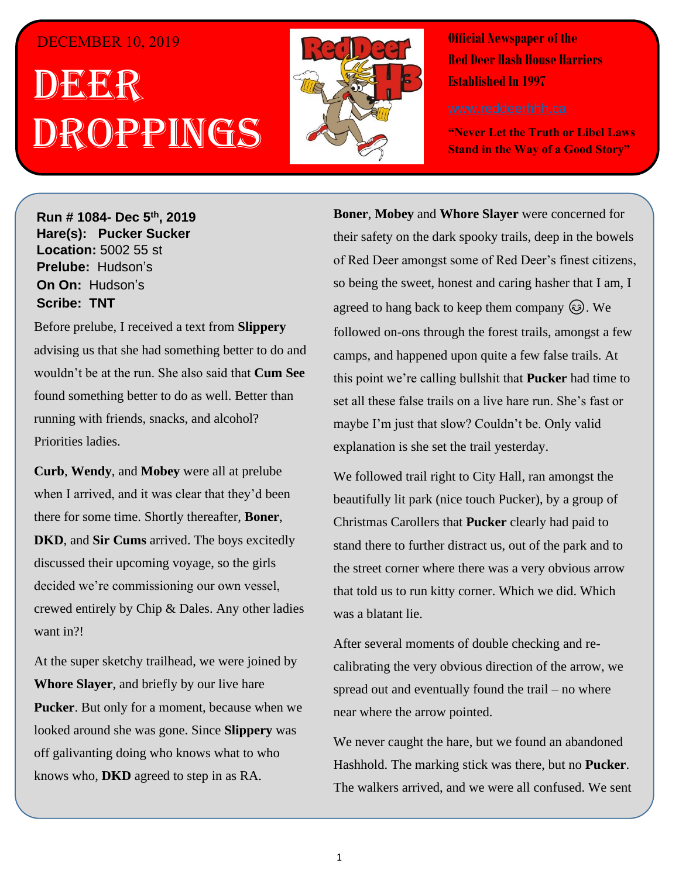## DECEMBER 10, 2019

## . 1 DEER h  $\overline{\phantom{a}}$ ROPPINGS



**Official Newspaper of the Red Deer Hash House Harriers Established In 1997** 

**"Never Let the Truth or Libel Laws Stand in the Way of a Good Story"**

**Run # 1075- Oct. 3 rd, 2019 Hare(s): Deep Throat with a little help from her Run # 1084- Dec 5 th, 2019 virgin friend Hare(s): Pucker Sucker Location:** 5002 55 st **Prelube:** Hudson's **On On: Hudson's Sir Siri** Tradoon Strip And The Service Strip A Whole Strip A Whole Strip A Whole Strip A Whole Strip A Whole Strip A Whole Strip A Whole Strip A Whole Strip A Whole Strip A Whole Strip A Whole Strip A Whole Strip A Whole *Have you ever for a ftermally wanted to go out after a hard day of*  $\alpha$  *after a hard day of*  $\alpha$ 

*work and just have a few drinks with some friends and*  Before prelube, I received a text from **Slippery** advising us that she had something better to do and wouldn't be at the run. She also said that **Cum See** found something better to do as well. Better than running with friends, snacks, and alcohol? **Solution Crawler,** *Priorities ladies***. TNT**, **Slippery When**  $\mathbb{R}$ **, Slippery When**  $\mathbb{R}$ 

**Wet, Crash Test Rummy, Broken Boner, Sir Mobey's of Dickus, Cum Liquor Snatch and Deep**  when I arrived, and it was clear that they'd been **DKD**, and **Sir Cums** arrived. The boys excitedly discussed their upcoming voyage, so the girls *shirt based on those comments to assist themselves in daily self-improvement?* Want in?! **Shirt she had want in?! Curb**, **Wendy**, and **Mobey** were all at prelube there for some time. Shortly thereafter, **Boner**, decided we're commissioning our own vessel, crewed entirely by Chip & Dales. Any other ladies

At the super sketchy trailhead, we were joined by **Whore Slayer**, and briefly by our live hare **Pucker**. But only for a moment, because when we looked around she was gone. Since **Slippery** was off galivanting doing who knows what to who knows who, **DKD** agreed to step in as RA.

**Boner, Mobey** and **Whore Slayer** were concerned for their safety on the dark spooky trails, deep in the bowels of Red Deer amongst some of Red Deer's finest citizens, so being the sweet, honest and caring hasher that I am, I agreed to hang back to keep them company  $\circledS$ . We followed on-ons through the forest trails, amongst a few my body as the wind was biting. Wearing two  $\mathbf{d}$  found a couple of coats I found. **Boner** wore shorts. *Have in fust that slow?* Couldn't be. Only valid explanation is she set the trail yesterday. camps, and happened upon quite a few false trails. At this point we're calling bullshit that **Pucker** had time to set all these false trails on a live hare run. She's fast or

We followed trail right to City Hall, ran amongst the  $W = \frac{1}{2}$  have  $\frac{1}{2}$  have  $\frac{1}{2}$  have  $\frac{1}{2}$  have  $\frac{1}{2}$  have  $\frac{1}{2}$  $\frac{1}{\sqrt{2}}$  contains the  $\frac{1}{\sqrt{2}}$  and  $\frac{1}{\sqrt{2}}$  and  $\frac{1}{\sqrt{2}}$  and  $\frac{1}{\sqrt{2}}$  and  $\frac{1}{\sqrt{2}}$ stand there to further distract us, out of the park and to the street corner where there was a very obvious arrow that told us to run kitty corner. Which we did. Which *Have you ever been on a Hash Trail with so much flour*  beautifully lit park (nice touch Pucker), by a group of Christmas Carollers that **Pucker** clearly had paid to was a blatant lie.

After several moments of double checking and recalibrating the very obvious direction of the arrow, we spread out and eventually found the trail – no where near where the arrow pointed.

We never caught the hare, but we found an abandoned Hashhold. The marking stick was there, but no **Pucker**. The walkers arrived, and we were all confused. We sent